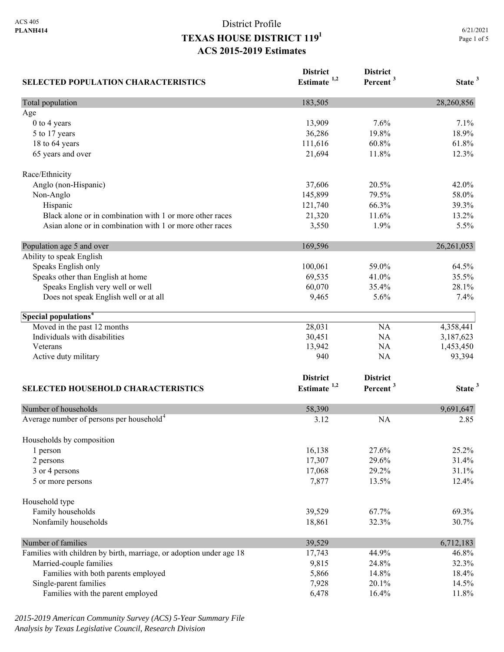| <b>SELECTED POPULATION CHARACTERISTICS</b>                          | <b>District</b><br>Estimate $1,2$ | <b>District</b><br>Percent <sup>3</sup> | State <sup>3</sup> |
|---------------------------------------------------------------------|-----------------------------------|-----------------------------------------|--------------------|
| Total population                                                    | 183,505                           |                                         | 28,260,856         |
| Age                                                                 |                                   |                                         |                    |
| $0$ to $4$ years                                                    | 13,909                            | 7.6%                                    | 7.1%               |
| 5 to 17 years                                                       | 36,286                            | 19.8%                                   | 18.9%              |
| 18 to 64 years                                                      | 111,616                           | 60.8%                                   | 61.8%              |
| 65 years and over                                                   | 21,694                            | 11.8%                                   | 12.3%              |
| Race/Ethnicity                                                      |                                   |                                         |                    |
| Anglo (non-Hispanic)                                                | 37,606                            | 20.5%                                   | 42.0%              |
| Non-Anglo                                                           | 145,899                           | 79.5%                                   | 58.0%              |
| Hispanic                                                            | 121,740                           | 66.3%                                   | 39.3%              |
| Black alone or in combination with 1 or more other races            | 21,320                            | 11.6%                                   | 13.2%              |
| Asian alone or in combination with 1 or more other races            | 3,550                             | 1.9%                                    | 5.5%               |
| Population age 5 and over                                           | 169,596                           |                                         | 26, 261, 053       |
| Ability to speak English                                            |                                   |                                         |                    |
| Speaks English only                                                 | 100,061                           | 59.0%                                   | 64.5%              |
| Speaks other than English at home                                   | 69,535                            | 41.0%                                   | 35.5%              |
| Speaks English very well or well                                    | 60,070                            | 35.4%                                   | 28.1%              |
| Does not speak English well or at all                               | 9,465                             | 5.6%                                    | 7.4%               |
| Special populations <sup>4</sup>                                    |                                   |                                         |                    |
| Moved in the past 12 months                                         | 28,031                            | <b>NA</b>                               | 4,358,441          |
| Individuals with disabilities                                       | 30,451                            | <b>NA</b>                               | 3,187,623          |
| Veterans                                                            | 13,942                            | NA                                      | 1,453,450          |
| Active duty military                                                | 940                               | NA                                      | 93,394             |
|                                                                     | <b>District</b>                   | <b>District</b>                         |                    |
| SELECTED HOUSEHOLD CHARACTERISTICS                                  | Estimate $1,2$                    | Percent <sup>3</sup>                    | State <sup>3</sup> |
| Number of households                                                | 58,390                            |                                         | 9,691,647          |
| Average number of persons per household <sup>4</sup>                | 3.12                              | <b>NA</b>                               | 2.85               |
| Households by composition                                           |                                   |                                         |                    |
| 1 person                                                            | 16,138                            | 27.6%                                   | 25.2%              |
| 2 persons                                                           | 17,307                            | 29.6%                                   | 31.4%              |
| 3 or 4 persons                                                      | 17,068                            | 29.2%                                   | 31.1%              |
| 5 or more persons                                                   | 7,877                             | 13.5%                                   | 12.4%              |
| Household type                                                      |                                   |                                         |                    |
| Family households                                                   | 39,529                            | 67.7%                                   | 69.3%              |
| Nonfamily households                                                | 18,861                            | 32.3%                                   | 30.7%              |
| Number of families                                                  | 39,529                            |                                         | 6,712,183          |
| Families with children by birth, marriage, or adoption under age 18 | 17,743                            | 44.9%                                   | 46.8%              |
| Married-couple families                                             | 9,815                             | 24.8%                                   | 32.3%              |
| Families with both parents employed                                 | 5,866                             | 14.8%                                   | 18.4%              |
| Single-parent families                                              | 7,928                             | 20.1%                                   | 14.5%              |
| Families with the parent employed                                   | 6,478                             | 16.4%                                   | 11.8%              |

*2015-2019 American Community Survey (ACS) 5-Year Summary File Analysis by Texas Legislative Council, Research Division*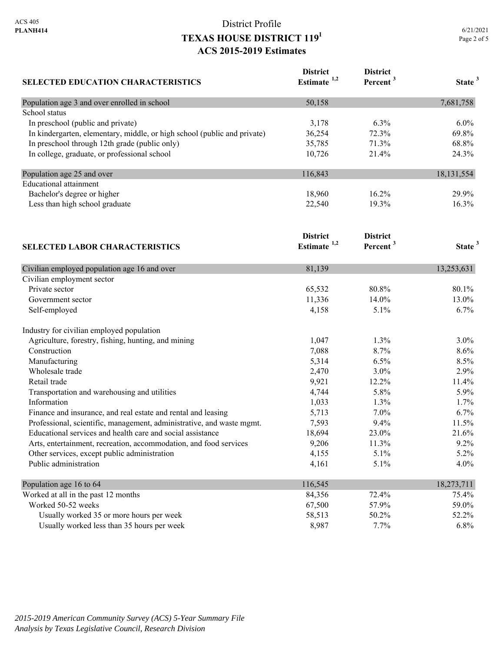| 6/21/2021   |  |
|-------------|--|
| Page 2 of 5 |  |

| <b>SELECTED EDUCATION CHARACTERISTICS</b>                                | <b>District</b>         | <b>District</b>      |                    |
|--------------------------------------------------------------------------|-------------------------|----------------------|--------------------|
|                                                                          | Estimate <sup>1,2</sup> | Percent <sup>3</sup> | State <sup>3</sup> |
| Population age 3 and over enrolled in school                             | 50,158                  |                      | 7,681,758          |
| School status                                                            |                         |                      |                    |
| In preschool (public and private)                                        | 3,178                   | 6.3%                 | $6.0\%$            |
| In kindergarten, elementary, middle, or high school (public and private) | 36,254                  | 72.3%                | 69.8%              |
| In preschool through 12th grade (public only)                            | 35,785                  | 71.3%                | 68.8%              |
| In college, graduate, or professional school                             | 10,726                  | 21.4%                | 24.3%              |
| Population age 25 and over                                               | 116,843                 |                      | 18, 131, 554       |
| <b>Educational</b> attainment                                            |                         |                      |                    |
| Bachelor's degree or higher                                              | 18,960                  | 16.2%                | 29.9%              |
| Less than high school graduate                                           | 22,540                  | 19.3%                | 16.3%              |
|                                                                          | <b>District</b>         | <b>District</b>      |                    |
| <b>SELECTED LABOR CHARACTERISTICS</b>                                    | Estimate <sup>1,2</sup> | Percent <sup>3</sup> | State <sup>3</sup> |
| Civilian employed population age 16 and over                             | 81,139                  |                      | 13,253,631         |
| Civilian employment sector                                               |                         |                      |                    |
| Private sector                                                           | 65,532                  | 80.8%                | 80.1%              |
| Government sector                                                        | 11,336                  | 14.0%                | 13.0%              |
| Self-employed                                                            | 4,158                   | 5.1%                 | 6.7%               |
| Industry for civilian employed population                                |                         |                      |                    |
| Agriculture, forestry, fishing, hunting, and mining                      | 1,047                   | 1.3%                 | $3.0\%$            |
| Construction                                                             | 7,088                   | 8.7%                 | 8.6%               |
| Manufacturing                                                            | 5,314                   | 6.5%                 | 8.5%               |
| Wholesale trade                                                          | 2,470                   | 3.0%                 | 2.9%               |
| Retail trade                                                             | 9,921                   | 12.2%                | 11.4%              |
| Transportation and warehousing and utilities                             | 4,744                   | 5.8%                 | 5.9%               |
| Information                                                              | 1,033                   | 1.3%                 | 1.7%               |
| Finance and insurance, and real estate and rental and leasing            | 5,713                   | 7.0%                 | 6.7%               |
| Professional, scientific, management, administrative, and waste mgmt.    | 7,593                   | 9.4%                 | 11.5%              |
| Educational services and health care and social assistance               | 18,694                  | 23.0%                | 21.6%              |
| Arts, entertainment, recreation, accommodation, and food services        | 9,206                   | 11.3%                | 9.2%               |
| Other services, except public administration                             | 4,155                   | 5.1%                 | 5.2%               |
| Public administration                                                    | 4,161                   | 5.1%                 | 4.0%               |
| Population age 16 to 64                                                  | 116,545                 |                      | 18,273,711         |
| Worked at all in the past 12 months                                      | 84,356                  | 72.4%                | 75.4%              |
| Worked 50-52 weeks                                                       | 67,500                  | 57.9%                | 59.0%              |
| Usually worked 35 or more hours per week                                 | 58,513                  | 50.2%                | 52.2%              |
| Usually worked less than 35 hours per week                               | 8,987                   | 7.7%                 | 6.8%               |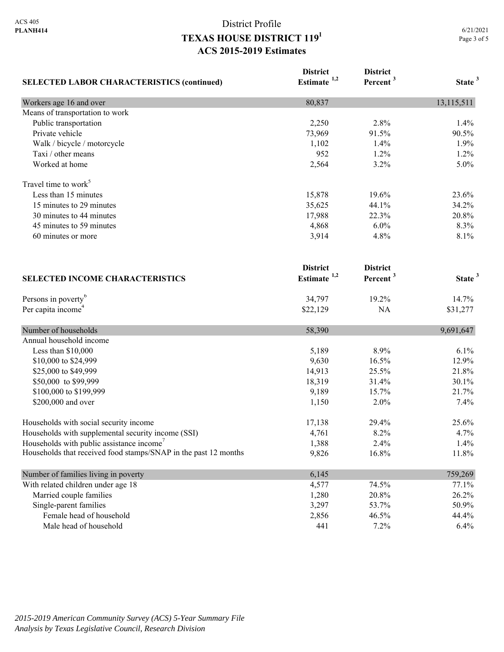| <b>SELECTED LABOR CHARACTERISTICS (continued)</b>               | <b>District</b><br>Estimate <sup>1,2</sup> | <b>District</b><br>Percent <sup>3</sup> | State <sup>3</sup> |
|-----------------------------------------------------------------|--------------------------------------------|-----------------------------------------|--------------------|
| Workers age 16 and over                                         | 80,837                                     |                                         | 13,115,511         |
| Means of transportation to work                                 |                                            |                                         |                    |
| Public transportation                                           | 2,250                                      | 2.8%                                    | 1.4%               |
| Private vehicle                                                 | 73,969                                     | 91.5%                                   | 90.5%              |
| Walk / bicycle / motorcycle                                     | 1,102                                      | 1.4%                                    | 1.9%               |
| Taxi / other means                                              | 952                                        | 1.2%                                    | 1.2%               |
| Worked at home                                                  | 2,564                                      | 3.2%                                    | 5.0%               |
| Travel time to work <sup>5</sup>                                |                                            |                                         |                    |
| Less than 15 minutes                                            | 15,878                                     | 19.6%                                   | 23.6%              |
| 15 minutes to 29 minutes                                        | 35,625                                     | 44.1%                                   | 34.2%              |
| 30 minutes to 44 minutes                                        | 17,988                                     | 22.3%                                   | 20.8%              |
| 45 minutes to 59 minutes                                        | 4,868                                      | 6.0%                                    | 8.3%               |
| 60 minutes or more                                              | 3,914                                      | 4.8%                                    | 8.1%               |
| <b>SELECTED INCOME CHARACTERISTICS</b>                          | <b>District</b><br>Estimate <sup>1,2</sup> | <b>District</b><br>Percent <sup>3</sup> | State <sup>3</sup> |
|                                                                 |                                            |                                         |                    |
| Persons in poverty <sup>6</sup>                                 | 34,797                                     | 19.2%                                   | 14.7%              |
| Per capita income <sup>4</sup>                                  | \$22,129                                   | NA                                      | \$31,277           |
| Number of households                                            | 58,390                                     |                                         | 9,691,647          |
| Annual household income                                         |                                            |                                         |                    |
| Less than \$10,000                                              | 5,189                                      | 8.9%                                    | 6.1%               |
| \$10,000 to \$24,999                                            | 9,630                                      | 16.5%                                   | 12.9%              |
| \$25,000 to \$49,999                                            | 14,913                                     | 25.5%                                   | 21.8%              |
| \$50,000 to \$99,999                                            | 18,319                                     | 31.4%                                   | 30.1%              |
| \$100,000 to \$199,999                                          | 9,189                                      | 15.7%                                   | 21.7%              |
| \$200,000 and over                                              | 1,150                                      | 2.0%                                    | 7.4%               |
| Households with social security income                          | 17,138                                     | 29.4%                                   | 25.6%              |
| Households with supplemental security income (SSI)              | 4,761                                      | 8.2%                                    | 4.7%               |
| Households with public assistance income'                       | 1,388                                      | 2.4%                                    | 1.4%               |
| Households that received food stamps/SNAP in the past 12 months | 9,826                                      | 16.8%                                   | 11.8%              |
| Number of families living in poverty                            | 6,145                                      |                                         | 759,269            |
| With related children under age 18                              | 4,577                                      | 74.5%                                   | 77.1%              |
| Married couple families                                         | 1,280                                      | 20.8%                                   | 26.2%              |
| Single-parent families                                          | 3,297                                      | 53.7%                                   | 50.9%              |
| Female head of household                                        | 2,856                                      | 46.5%                                   | 44.4%              |
| Male head of household                                          | 441                                        | 7.2%                                    | 6.4%               |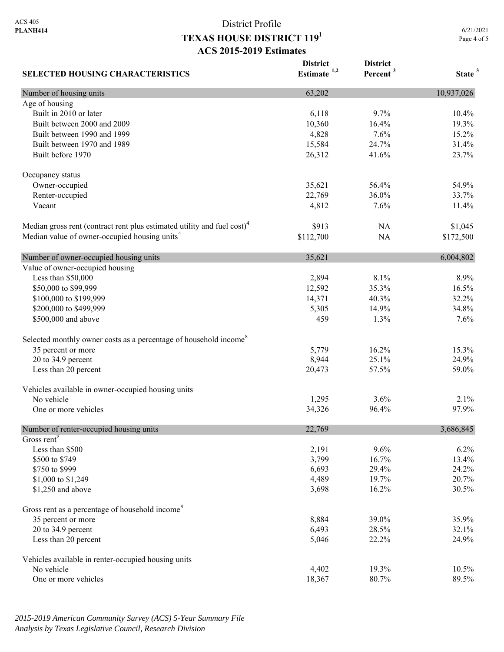**District** 

**District** 

**SELECTED HOUSING CHARACTERISTICS Estimate 1,2 Percent <sup>3</sup> State <sup>3</sup>** Number of housing units 10,937,026 Age of housing Built in 2010 or later 10.4% 10.4% 10.4% 10.4% 10.4% 10.4% 10.4% 10.4% 10.4% 10.4% 10.5 m Built between 2000 and 2009 10,360 16.4% 19.3% 19.3% Built between 1990 and 1999 15.2% 15.2% 15.2% Built between 1970 and 1989 15,584 24.7% 31.4% Built before 1970 23.7% 23.7% Occupancy status Owner-occupied 35,621 56.4% 54.9% Renter-occupied 22,769 36.0% 33.7% Vacant 11.4% 11.4% 12 1.4% 12 1.4% 12 1.4% 12 1.4% 12 1.4% 12 1.4% 12 1.4% 12 1.4% 12 1.4% 12 1.4% 12 1.4% 12 1 Median gross rent (contract rent plus estimated utility and fuel cost)<sup>4</sup> \$913 NA \$1,045 Median value of owner-occupied housing units<sup>4</sup> \$112,700 NA \$172,500 Number of owner-occupied housing units 35,621 6,004,802 Value of owner-occupied housing Less than \$50,000 2,894 8.1% 8.9% \$50,000 to \$99,999 12,592 35.3% 16.5% \$100,000 to \$199,999 14,371 40.3% 32.2% \$200,000 to \$499,999 34.8% 36 and \$499,999 34.8% 36 and \$5,305 34.8% 36 and \$5,305 34.8% \$500,000 and above 1.3% 1.3% 7.6% 7.6% 1.3% 1.3% 7.6% Selected monthly owner costs as a percentage of household income<sup>8</sup> 35 percent or more 15.3% 16.2% 15.3% 20 to 34.9 percent 24.9% 24.9% 26.1% 26.944 25.1% 24.9% Less than 20 percent 20,473 57.5% 59.0% Vehicles available in owner-occupied housing units No vehicle  $1,295$   $3.6\%$   $2.1\%$ One or more vehicles 8 and the state of the state 34,326 96.4% 97.9% Number of renter-occupied housing units 22,769 3,686,845 Gross rent<sup>9</sup> Less than \$500 2,191 9.6% 6.2% \$500 to \$749 **13.4% 13.4% 13.4%**  $$750 \text{ to } $999$  24.2% 24.2% \$1,000 to \$1,249 20.7% 20.7% \$1,250 and above 3,698 16.2% 30.5% 30.5% Gross rent as a percentage of household income<sup>8</sup> 35 percent or more 35.9% 35.9% 20 to 34.9 percent 32.1% 32.1% Less than 20 percent 24.9% 24.9% 26.000 22.2% 24.9% Vehicles available in renter-occupied housing units No vehicle 19.3% 10.5% 10.5% 10.5% 10.5% 10.5% 10.5% 10.5% 10.5% 10.5% 10.5% 10.5% 10.5% 10.5% 10.5% 10.5% 10.5% One or more vehicles 89.5% 89.5%